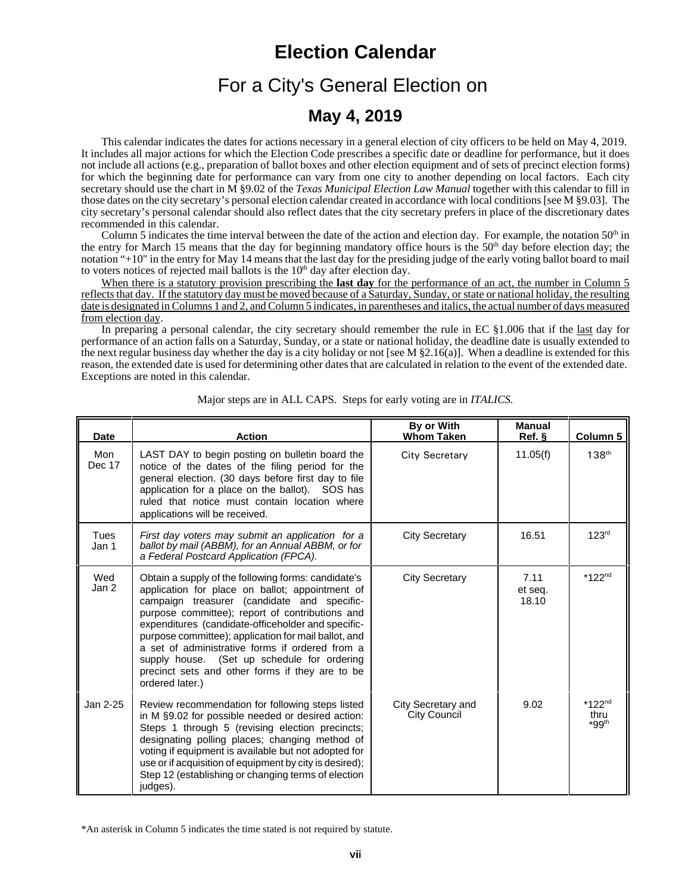## **Election Calendar**

# For a City's General Election on

### **May 4, 2019**

This calendar indicates the dates for actions necessary in a general election of city officers to be held on May 4, 2019. It includes all major actions for which the Election Code prescribes a specific date or deadline for performance, but it does not include all actions (e.g., preparation of ballot boxes and other election equipment and of sets of precinct election forms) for which the beginning date for performance can vary from one city to another depending on local factors. Each city secretary should use the chart in M §9.02 of the *Texas Municipal Election Law Manual* together with this calendar to fill in those dates on the city secretary's personal election calendar created in accordance with local conditions [see M §9.03]. The city secretary's personal calendar should also reflect dates that the city secretary prefers in place of the discretionary dates recommended in this calendar.

Column 5 indicates the time interval between the date of the action and election day. For example, the notation  $50<sup>th</sup>$  in the entry for March 15 means that the day for beginning mandatory office hours is the  $50<sup>th</sup>$  day before election day; the notation "+10" in the entry for May 14 means that the last day for the presiding judge of the early voting ballot board to mail to voters notices of rejected mail ballots is the  $10<sup>th</sup>$  day after election day.

When there is a statutory provision prescribing the **last day** for the performance of an act, the number in Column 5 reflects that day. If the statutory day must be moved because of a Saturday, Sunday, or state or national holiday, the resulting date is designated in Columns 1 and 2, and Column 5 indicates, in parentheses and italics, the actual number of days measured from election day.

In preparing a personal calendar, the city secretary should remember the rule in EC §1.006 that if the <u>last</u> day for performance of an action falls on a Saturday, Sunday, or a state or national holiday, the deadline date is usually extended to the next regular business day whether the day is a city holiday or not [see M  $\S2.16(a)$ ]. When a deadline is extended for this reason, the extended date is used for determining other dates that are calculated in relation to the event of the extended date. Exceptions are noted in this calendar.

| <b>Date</b>   | <b>Action</b>                                                                                                                                                                                                                                                                                                                                                                                                                                                                                  | By or With<br><b>Whom Taken</b>           | Manual<br>Ref.           | Column 5                                    |
|---------------|------------------------------------------------------------------------------------------------------------------------------------------------------------------------------------------------------------------------------------------------------------------------------------------------------------------------------------------------------------------------------------------------------------------------------------------------------------------------------------------------|-------------------------------------------|--------------------------|---------------------------------------------|
| Mon<br>Dec 17 | LAST DAY to begin posting on bulletin board the<br>notice of the dates of the filing period for the<br>general election. (30 days before first day to file<br>application for a place on the ballot). SOS has<br>ruled that notice must contain location where<br>applications will be received.                                                                                                                                                                                               | <b>City Secretary</b>                     | 11.05(f)                 | $138^{th}$                                  |
| Tues<br>Jan 1 | First day voters may submit an application for a<br>ballot by mail (ABBM), for an Annual ABBM, or for<br>a Federal Postcard Application (FPCA).                                                                                                                                                                                                                                                                                                                                                | <b>City Secretary</b>                     | 16.51                    | 123 <sup>rd</sup>                           |
| Wed<br>Jan 2  | Obtain a supply of the following forms: candidate's<br>application for place on ballot; appointment of<br>campaign treasurer (candidate and specific-<br>purpose committee); report of contributions and<br>expenditures (candidate-officeholder and specific-<br>purpose committee); application for mail ballot, and<br>a set of administrative forms if ordered from a<br>supply house. (Set up schedule for ordering<br>precinct sets and other forms if they are to be<br>ordered later.) | <b>City Secretary</b>                     | 7.11<br>et seg.<br>18.10 | $*122nd$                                    |
| Jan 2-25      | Review recommendation for following steps listed<br>in M §9.02 for possible needed or desired action:<br>Steps 1 through 5 (revising election precincts;<br>designating polling places; changing method of<br>voting if equipment is available but not adopted for<br>use or if acquisition of equipment by city is desired);<br>Step 12 (establishing or changing terms of election<br>judges).                                                                                               | City Secretary and<br><b>City Council</b> | 9.02                     | $*122^{nd}$<br>thru<br>$*$ 99 <sup>th</sup> |

Major steps are in ALL CAPS. Steps for early voting are in *ITALICS.*

<sup>\*</sup>An asterisk in Column 5 indicates the time stated is not required by statute.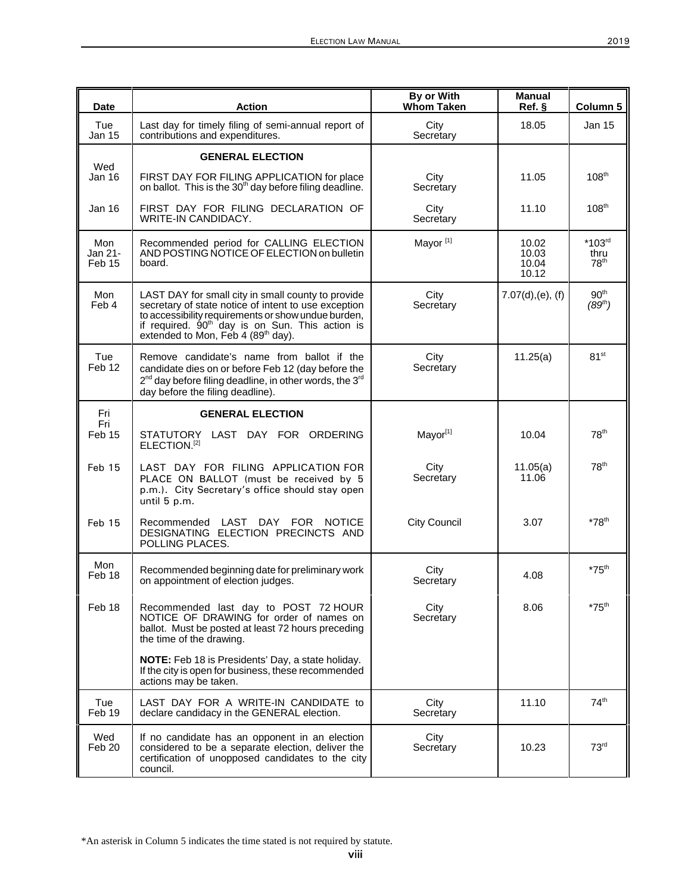| <b>Date</b>              | <b>Action</b>                                                                                                                                                                                                                                                                      | By or With<br><b>Whom Taken</b> | <b>Manual</b><br>Ref.            | Column 5                                |
|--------------------------|------------------------------------------------------------------------------------------------------------------------------------------------------------------------------------------------------------------------------------------------------------------------------------|---------------------------------|----------------------------------|-----------------------------------------|
| Tue<br><b>Jan 15</b>     | Last day for timely filing of semi-annual report of<br>contributions and expenditures.                                                                                                                                                                                             | City<br>Secretary               | 18.05                            | Jan 15                                  |
| Wed                      | <b>GENERAL ELECTION</b>                                                                                                                                                                                                                                                            |                                 |                                  |                                         |
| <b>Jan 16</b>            | FIRST DAY FOR FILING APPLICATION for place<br>on ballot. This is the 30 <sup>th</sup> day before filing deadline.                                                                                                                                                                  | City<br>Secretary               | 11.05                            | $108^{\text{th}}$                       |
| Jan 16                   | FIRST DAY FOR FILING DECLARATION OF<br>WRITE-IN CANDIDACY.                                                                                                                                                                                                                         | City<br>Secretary               | 11.10                            | $108^{\text{th}}$                       |
| Mon<br>Jan 21-<br>Feb 15 | Recommended period for CALLING ELECTION<br>AND POSTING NOTICE OF ELECTION on bulletin<br>board.                                                                                                                                                                                    | Mayor <sup>[1]</sup>            | 10.02<br>10.03<br>10.04<br>10.12 | $*103rd$<br>thru<br>78 <sup>th</sup>    |
| Mon<br>Feb 4             | LAST DAY for small city in small county to provide<br>secretary of state notice of intent to use exception<br>to accessibility requirements or show undue burden,<br>if required. 90 <sup>th</sup> day is on Sun. This action is<br>extended to Mon, Feb 4 (89 <sup>th</sup> day). | City<br>Secretary               | $7.07(d)$ , (e), (f)             | 90 <sup>th</sup><br>(89 <sup>th</sup> ) |
| Tue<br>Feb 12            | Remove candidate's name from ballot if the<br>candidate dies on or before Feb 12 (day before the<br>2 <sup>nd</sup> day before filing deadline, in other words, the 3 <sup>rd</sup><br>day before the filing deadline).                                                            | City<br>Secretary               | 11.25(a)                         | 81 <sup>st</sup>                        |
| Fri<br>Fri               | <b>GENERAL ELECTION</b>                                                                                                                                                                                                                                                            |                                 |                                  |                                         |
| Feb 15                   | STATUTORY LAST DAY FOR ORDERING<br>ELECTION. <sup>[2]</sup>                                                                                                                                                                                                                        | Mayor[1]                        | 10.04                            | 78 <sup>th</sup>                        |
| Feb 15                   | LAST DAY FOR FILING APPLICATION FOR<br>PLACE ON BALLOT (must be received by 5<br>p.m.). City Secretary's office should stay open<br>until 5 p.m.                                                                                                                                   | City<br>Secretary               | 11.05(a)<br>11.06                | 78 <sup>th</sup>                        |
| Feb 15                   | Recommended LAST DAY FOR<br><b>NOTICE</b><br>DESIGNATING ELECTION PRECINCTS AND<br>POLLING PLACES.                                                                                                                                                                                 | <b>City Council</b>             | 3.07                             | $*78$ <sup>th</sup>                     |
| Mon<br>Feb 18            | Recommended beginning date for preliminary work<br>on appointment of election judges.                                                                                                                                                                                              | City<br>Secretary               | 4.08                             | $*75$ <sup>th</sup>                     |
| Feb 18                   | Recommended last day to POST 72 HOUR<br>NOTICE OF DRAWING for order of names on<br>ballot. Must be posted at least 72 hours preceding<br>the time of the drawing.                                                                                                                  | City<br>Secretary               | 8.06                             | $*75$ <sup>th</sup>                     |
|                          | NOTE: Feb 18 is Presidents' Day, a state holiday.<br>If the city is open for business, these recommended<br>actions may be taken.                                                                                                                                                  |                                 |                                  |                                         |
| Tue<br>Feb 19            | LAST DAY FOR A WRITE-IN CANDIDATE to<br>declare candidacy in the GENERAL election.                                                                                                                                                                                                 | City<br>Secretary               | 11.10                            | 74 <sup>th</sup>                        |
| Wed<br>Feb 20            | If no candidate has an opponent in an election<br>considered to be a separate election, deliver the<br>certification of unopposed candidates to the city<br>council.                                                                                                               | City<br>Secretary               | 10.23                            | 73 <sup>rd</sup>                        |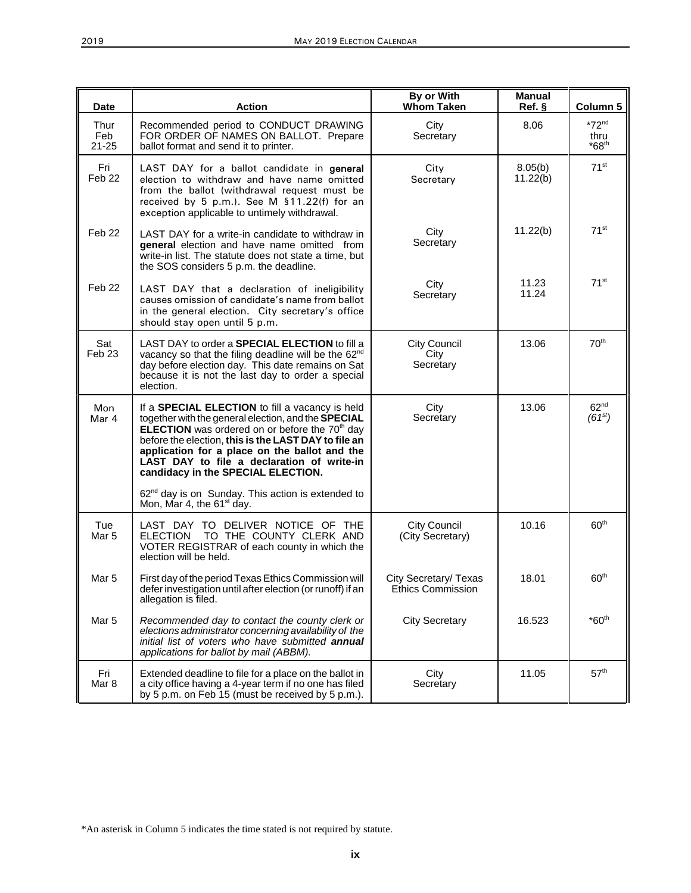| <b>Date</b>              | <b>Action</b>                                                                                                                                                                                                                                                                                                                                                         | By or With<br><b>Whom Taken</b>            | <b>Manual</b><br>Ref. § | Column 5                        |
|--------------------------|-----------------------------------------------------------------------------------------------------------------------------------------------------------------------------------------------------------------------------------------------------------------------------------------------------------------------------------------------------------------------|--------------------------------------------|-------------------------|---------------------------------|
| Thur<br>Feb<br>$21 - 25$ | Recommended period to CONDUCT DRAWING<br>FOR ORDER OF NAMES ON BALLOT. Prepare<br>ballot format and send it to printer.                                                                                                                                                                                                                                               | City<br>Secretary                          | 8.06                    | $*72nd$<br>thru<br>$*68th$      |
| Fri<br>Feb <sub>22</sub> | LAST DAY for a ballot candidate in general<br>election to withdraw and have name omitted<br>from the ballot (withdrawal request must be<br>received by 5 p.m.). See M §11.22(f) for an<br>exception applicable to untimely withdrawal.                                                                                                                                | City<br>Secretary                          | 8.05(b)<br>11.22(b)     | 71 <sup>st</sup>                |
| Feb <sub>22</sub>        | LAST DAY for a write-in candidate to withdraw in<br>general election and have name omitted from<br>write-in list. The statute does not state a time, but<br>the SOS considers 5 p.m. the deadline.                                                                                                                                                                    | City<br>Secretary                          | 11.22(b)                | 71 <sup>st</sup>                |
| Feb 22                   | LAST DAY that a declaration of ineligibility<br>causes omission of candidate's name from ballot<br>in the general election. City secretary's office<br>should stay open until 5 p.m.                                                                                                                                                                                  | City<br>Secretary                          | 11.23<br>11.24          | 71 <sup>st</sup>                |
| Sat<br>Feb <sub>23</sub> | LAST DAY to order a <b>SPECIAL ELECTION</b> to fill a<br>vacancy so that the filing deadline will be the 62 <sup>nd</sup><br>day before election day. This date remains on Sat<br>because it is not the last day to order a special<br>election.                                                                                                                      | <b>City Council</b><br>City<br>Secretary   | 13.06                   | 70 <sup>th</sup>                |
| Mon<br>Mar 4             | If a <b>SPECIAL ELECTION</b> to fill a vacancy is held<br>together with the general election, and the SPECIAL<br><b>ELECTION</b> was ordered on or before the $70th$ day<br>before the election, this is the LAST DAY to file an<br>application for a place on the ballot and the<br>LAST DAY to file a declaration of write-in<br>candidacy in the SPECIAL ELECTION. | City<br>Secretary                          | 13.06                   | 62 <sup>nd</sup><br>$(61^{st})$ |
|                          | 62 <sup>nd</sup> day is on Sunday. This action is extended to<br>Mon, Mar 4, the 61 <sup>st</sup> day.                                                                                                                                                                                                                                                                |                                            |                         |                                 |
| Tue<br>Mar 5             | LAST DAY TO DELIVER NOTICE OF THE<br><b>ELECTION</b><br>TO THE COUNTY CLERK AND<br>VOTER REGISTRAR of each county in which the<br>election will be held.                                                                                                                                                                                                              | City Council<br>(City Secretary)           | 10.16                   | 60 <sup>th</sup>                |
| Mar 5                    | First day of the period Texas Ethics Commission will<br>defer investigation until after election (or runoff) if an<br>allegation is filed.                                                                                                                                                                                                                            | City Secretary/ Texas<br>Ethics Commission | 18.01                   | 60 <sup>th</sup>                |
| Mar 5                    | Recommended day to contact the county clerk or<br>elections administrator concerning availability of the<br>initial list of voters who have submitted annual<br>applications for ballot by mail (ABBM).                                                                                                                                                               | <b>City Secretary</b>                      | 16.523                  | $*60th$                         |
| Fri<br>Mar 8             | Extended deadline to file for a place on the ballot in<br>a city office having a 4-year term if no one has filed<br>by 5 p.m. on Feb 15 (must be received by 5 p.m.).                                                                                                                                                                                                 | City<br>Secretary                          | 11.05                   | 57 <sup>th</sup>                |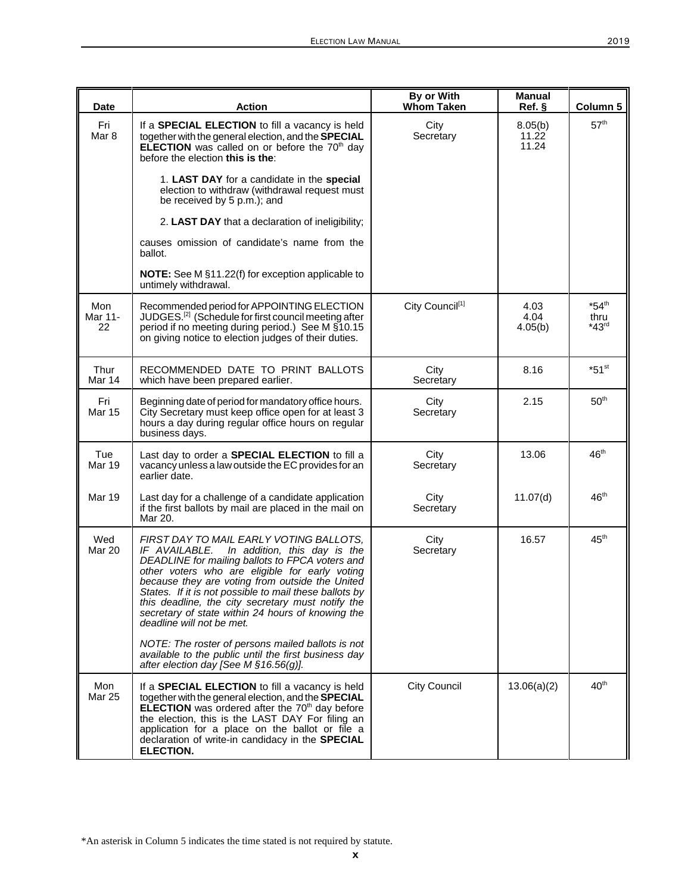| <b>Date</b>                 | <b>Action</b>                                                                                                                                                                                                                                                                                                                                                                                                                                  | By or With<br><b>Whom Taken</b> | <b>Manual</b><br>Ref.     | Column 5                               |
|-----------------------------|------------------------------------------------------------------------------------------------------------------------------------------------------------------------------------------------------------------------------------------------------------------------------------------------------------------------------------------------------------------------------------------------------------------------------------------------|---------------------------------|---------------------------|----------------------------------------|
| Fri<br>Mar 8                | If a <b>SPECIAL ELECTION</b> to fill a vacancy is held<br>together with the general election, and the SPECIAL<br><b>ELECTION</b> was called on or before the $70th$ day<br>before the election this is the:                                                                                                                                                                                                                                    | City<br>Secretary               | 8.05(b)<br>11.22<br>11.24 | 57 <sup>th</sup>                       |
|                             | 1. LAST DAY for a candidate in the special<br>election to withdraw (withdrawal request must<br>be received by 5 p.m.); and                                                                                                                                                                                                                                                                                                                     |                                 |                           |                                        |
|                             | 2. LAST DAY that a declaration of ineligibility;                                                                                                                                                                                                                                                                                                                                                                                               |                                 |                           |                                        |
|                             | causes omission of candidate's name from the<br>ballot.                                                                                                                                                                                                                                                                                                                                                                                        |                                 |                           |                                        |
|                             | <b>NOTE:</b> See M §11.22(f) for exception applicable to<br>untimely withdrawal.                                                                                                                                                                                                                                                                                                                                                               |                                 |                           |                                        |
| Mon<br>Mar 11-<br>22        | Recommended period for APPOINTING ELECTION<br>JUDGES. <sup>[2]</sup> (Schedule for first council meeting after<br>period if no meeting during period.) See M §10.15<br>on giving notice to election judges of their duties.                                                                                                                                                                                                                    | City Council <sup>[1]</sup>     | 4.03<br>4.04<br>4.05(b)   | $*54$ <sup>th</sup><br>thru<br>$*43rd$ |
| Thur<br>Mar 14              | RECOMMENDED DATE TO PRINT BALLOTS<br>which have been prepared earlier.                                                                                                                                                                                                                                                                                                                                                                         | City<br>Secretary               | 8.16                      | $*51$ <sup>st</sup>                    |
| Fri<br><b>Mar 15</b>        | Beginning date of period for mandatory office hours.<br>City Secretary must keep office open for at least 3<br>hours a day during regular office hours on regular<br>business days.                                                                                                                                                                                                                                                            | City<br>Secretary               | 2.15                      | 50 <sup>th</sup>                       |
| Tue<br><b>Mar 19</b>        | Last day to order a <b>SPECIAL ELECTION</b> to fill a<br>vacancy unless a law outside the EC provides for an<br>earlier date.                                                                                                                                                                                                                                                                                                                  | City<br>Secretary               | 13.06                     | 46 <sup>th</sup>                       |
| <b>Mar 19</b>               | Last day for a challenge of a candidate application<br>if the first ballots by mail are placed in the mail on<br>Mar 20.                                                                                                                                                                                                                                                                                                                       | City<br>Secretary               | 11.07(d)                  | $46^{\text{th}}$                       |
| Wed<br><b>Mar 20</b>        | FIRST DAY TO MAIL EARLY VOTING BALLOTS,<br>IF AVAILABLE. In addition, this day is the<br>DEADLINE for mailing ballots to FPCA voters and<br>other voters who are eligible for early voting<br>because they are voting from outside the United<br>States. If it is not possible to mail these ballots by<br>this deadline, the city secretary must notify the<br>secretary of state within 24 hours of knowing the<br>deadline will not be met. | City<br>Secretary               | 16.57                     | 45 <sup>th</sup>                       |
|                             | NOTE: The roster of persons mailed ballots is not<br>available to the public until the first business day<br>after election day [See M §16.56(g)].                                                                                                                                                                                                                                                                                             |                                 |                           |                                        |
| <b>Mon</b><br><b>Mar 25</b> | If a <b>SPECIAL ELECTION</b> to fill a vacancy is held<br>together with the general election, and the <b>SPECIAL</b><br><b>ELECTION</b> was ordered after the $70th$ day before<br>the election, this is the LAST DAY For filing an<br>application for a place on the ballot or file a<br>declaration of write-in candidacy in the SPECIAL<br><b>ELECTION.</b>                                                                                 | <b>City Council</b>             | 13.06(a)(2)               | 40 <sup>th</sup>                       |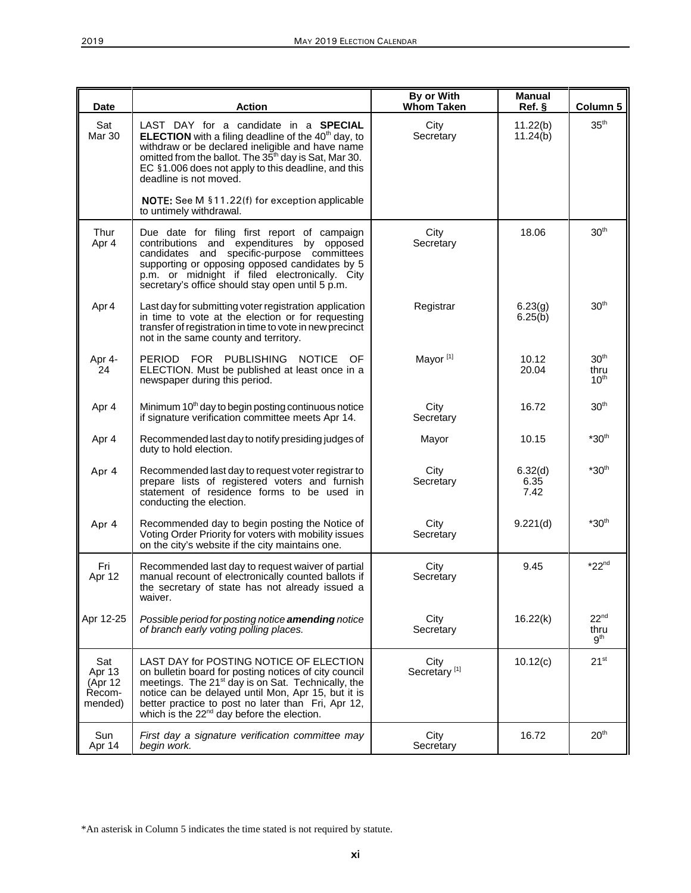| <b>Date</b>                                    | <b>Action</b>                                                                                                                                                                                                                                                                                                                  | By or With<br><b>Whom Taken</b>  | <b>Manual</b><br>$Ref.$ § | Column 5                                     |
|------------------------------------------------|--------------------------------------------------------------------------------------------------------------------------------------------------------------------------------------------------------------------------------------------------------------------------------------------------------------------------------|----------------------------------|---------------------------|----------------------------------------------|
| Sat<br>Mar 30                                  | LAST DAY for a candidate in a SPECIAL<br><b>ELECTION</b> with a filing deadline of the 40 <sup>th</sup> day, to<br>withdraw or be declared ineligible and have name<br>omitted from the ballot. The 35 <sup>th</sup> day is Sat, Mar 30.<br>EC §1.006 does not apply to this deadline, and this<br>deadline is not moved.      | City<br>Secretary                | 11.22(b)<br>11.24(b)      | 35 <sup>th</sup>                             |
|                                                | NOTE: See M §11.22(f) for exception applicable<br>to untimely withdrawal.                                                                                                                                                                                                                                                      |                                  |                           |                                              |
| Thur<br>Apr 4                                  | Due date for filing first report of campaign<br>contributions and expenditures by opposed<br>candidates and specific-purpose committees<br>supporting or opposing opposed candidates by 5<br>p.m. or midnight if filed electronically. City<br>secretary's office should stay open until 5 p.m.                                | City<br>Secretary                | 18.06                     | 30 <sup>th</sup>                             |
| Apr 4                                          | Last day for submitting voter registration application<br>in time to vote at the election or for requesting<br>transfer of registration in time to vote in new precinct<br>not in the same county and territory.                                                                                                               | Registrar                        | 6.23(g)<br>6.25(b)        | 30 <sup>th</sup>                             |
| Apr 4-<br>24                                   | PERIOD FOR PUBLISHING<br><b>NOTICE</b><br>OF.<br>ELECTION. Must be published at least once in a<br>newspaper during this period.                                                                                                                                                                                               | Mayor <sup>[1]</sup>             | 10.12<br>20.04            | 30 <sup>th</sup><br>thru<br>10 <sup>th</sup> |
| Apr 4                                          | Minimum 10 <sup>th</sup> day to begin posting continuous notice<br>if signature verification committee meets Apr 14.                                                                                                                                                                                                           | City<br>Secretary                | 16.72                     | 30 <sup>th</sup>                             |
| Apr 4                                          | Recommended last day to notify presiding judges of<br>duty to hold election.                                                                                                                                                                                                                                                   | Mayor                            | 10.15                     | $*30th$                                      |
| Apr 4                                          | Recommended last day to request voter registrar to<br>prepare lists of registered voters and furnish<br>statement of residence forms to be used in<br>conducting the election.                                                                                                                                                 | City<br>Secretary                | 6.32(d)<br>6.35<br>7.42   | $*30th$                                      |
| Apr 4                                          | Recommended day to begin posting the Notice of<br>Voting Order Priority for voters with mobility issues<br>on the city's website if the city maintains one.                                                                                                                                                                    | City<br>Secretary                | 9.221(d)                  | $*30th$                                      |
| Fri<br>Apr 12                                  | Recommended last day to request waiver of partial<br>manual recount of electronically counted ballots if<br>the secretary of state has not already issued a<br>waiver.                                                                                                                                                         | City<br>Secretary                | 9.45                      | $*22nd$                                      |
| Apr 12-25                                      | Possible period for posting notice <b>amending</b> notice<br>of branch early voting polling places.                                                                                                                                                                                                                            | City<br>Secretary                | 16.22(k)                  | 22 <sup>nd</sup><br>thru<br>9 <sup>th</sup>  |
| Sat<br>Apr 13<br>(Apr 12)<br>Recom-<br>mended) | LAST DAY for POSTING NOTICE OF ELECTION<br>on bulletin board for posting notices of city council<br>meetings. The 21 <sup>st</sup> day is on Sat. Technically, the<br>notice can be delayed until Mon, Apr 15, but it is<br>better practice to post no later than Fri, Apr 12,<br>which is the $22nd$ day before the election. | City<br>Secretary <sup>[1]</sup> | 10.12(c)                  | $21^{st}$                                    |
| Sun<br>Apr 14                                  | First day a signature verification committee may<br>begin work.                                                                                                                                                                                                                                                                | City<br>Secretary                | 16.72                     | 20 <sup>th</sup>                             |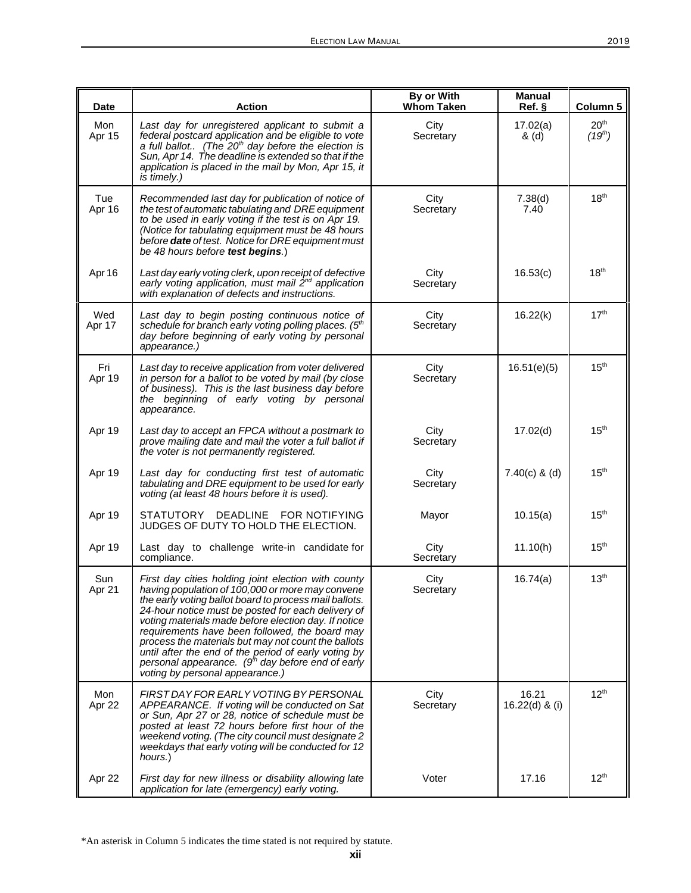| <b>Date</b>   | <b>Action</b>                                                                                                                                                                                                                                                                                                                                                                                                                                                                                                                              | By or With<br><b>Whom Taken</b> | <b>Manual</b><br>Ref.   | Column 5                                |
|---------------|--------------------------------------------------------------------------------------------------------------------------------------------------------------------------------------------------------------------------------------------------------------------------------------------------------------------------------------------------------------------------------------------------------------------------------------------------------------------------------------------------------------------------------------------|---------------------------------|-------------------------|-----------------------------------------|
| Mon<br>Apr 15 | Last day for unregistered applicant to submit a<br>federal postcard application and be eligible to vote<br>a full ballot (The $20th$ day before the election is<br>Sun, Apr 14. The deadline is extended so that if the<br>application is placed in the mail by Mon, Apr 15, it<br>is timely.)                                                                                                                                                                                                                                             | City<br>Secretary               | 17.02(a)<br>& (d)       | 20 <sup>th</sup><br>(19 <sup>th</sup> ) |
| Tue<br>Apr 16 | Recommended last day for publication of notice of<br>the test of automatic tabulating and DRE equipment<br>to be used in early voting if the test is on Apr 19.<br>(Notice for tabulating equipment must be 48 hours<br>before <b>date</b> of test. Notice for DRE equipment must<br>be 48 hours before test begins.)                                                                                                                                                                                                                      | City<br>Secretary               | 7.38(d)<br>7.40         | 18 <sup>th</sup>                        |
| Apr 16        | Last day early voting clerk, upon receipt of defective<br>early voting application, must mail 2 <sup>nd</sup> application<br>with explanation of defects and instructions.                                                                                                                                                                                                                                                                                                                                                                 | City<br>Secretary               | 16.53(c)                | $18^{\rm th}$                           |
| Wed<br>Apr 17 | Last day to begin posting continuous notice of<br>schedule for branch early voting polling places. (5th<br>day before beginning of early voting by personal<br>appearance.)                                                                                                                                                                                                                                                                                                                                                                | City<br>Secretary               | 16.22(k)                | 17 <sup>th</sup>                        |
| Fri<br>Apr 19 | Last day to receive application from voter delivered<br>in person for a ballot to be voted by mail (by close<br>of business). This is the last business day before<br>the beginning of early voting by personal<br>appearance.                                                                                                                                                                                                                                                                                                             | City<br>Secretary               | 16.51(e)(5)             | 15 <sup>th</sup>                        |
| Apr 19        | Last day to accept an FPCA without a postmark to<br>prove mailing date and mail the voter a full ballot if<br>the voter is not permanently registered.                                                                                                                                                                                                                                                                                                                                                                                     | City<br>Secretary               | 17.02(d)                | 15 <sup>th</sup>                        |
| Apr 19        | Last day for conducting first test of automatic<br>tabulating and DRE equipment to be used for early<br>voting (at least 48 hours before it is used).                                                                                                                                                                                                                                                                                                                                                                                      | City<br>Secretary               | $7.40(c)$ & (d)         | 15 <sup>th</sup>                        |
| Apr 19        | DEADLINE<br>STATUTORY<br><b>FOR NOTIFYING</b><br>JUDGES OF DUTY TO HOLD THE ELECTION.                                                                                                                                                                                                                                                                                                                                                                                                                                                      | Mayor                           | 10.15(a)                | 15 <sup>th</sup>                        |
| Apr 19        | Last day to challenge write-in candidate for<br>compliance.                                                                                                                                                                                                                                                                                                                                                                                                                                                                                | City<br>Secretary               | 11.10(h)                | 15 <sup>th</sup>                        |
| Sun<br>Apr 21 | First day cities holding joint election with county<br>having population of 100,000 or more may convene<br>the early voting ballot board to process mail ballots.<br>24-hour notice must be posted for each delivery of<br>voting materials made before election day. If notice<br>requirements have been followed, the board may<br>process the materials but may not count the ballots<br>until after the end of the period of early voting by<br>personal appearance. $(9th$ day before end of early<br>voting by personal appearance.) | City<br>Secretary               | 16.74(a)                | 13 <sup>th</sup>                        |
| Mon<br>Apr 22 | FIRST DAY FOR EARLY VOTING BY PERSONAL<br>APPEARANCE. If voting will be conducted on Sat<br>or Sun, Apr 27 or 28, notice of schedule must be<br>posted at least 72 hours before first hour of the<br>weekend voting. (The city council must designate 2<br>weekdays that early voting will be conducted for 12<br>hours.)                                                                                                                                                                                                                  | City<br>Secretary               | 16.21<br>16.22(d) & (i) | 12 <sup>th</sup>                        |
| Apr 22        | First day for new illness or disability allowing late<br>application for late (emergency) early voting.                                                                                                                                                                                                                                                                                                                                                                                                                                    | Voter                           | 17.16                   | 12 <sup>th</sup>                        |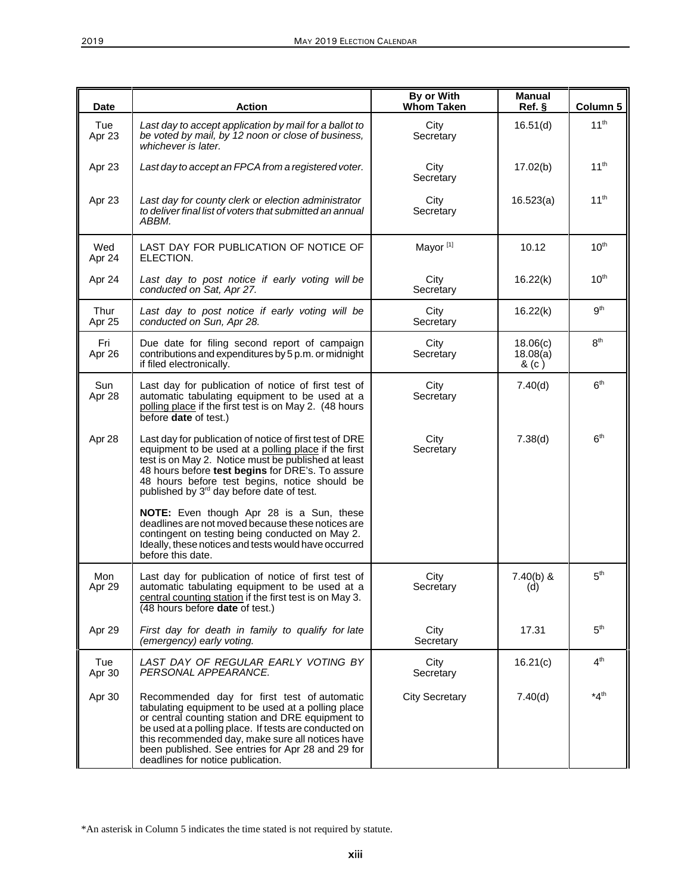| <b>Date</b>    | <b>Action</b>                                                                                                                                                                                                                                                                                                                                                | By or With<br><b>Whom Taken</b> | <b>Manual</b><br>Ref.       | Column 5         |
|----------------|--------------------------------------------------------------------------------------------------------------------------------------------------------------------------------------------------------------------------------------------------------------------------------------------------------------------------------------------------------------|---------------------------------|-----------------------------|------------------|
| Tue<br>Apr 23  | Last day to accept application by mail for a ballot to<br>be voted by mail, by 12 noon or close of business,<br>whichever is later.                                                                                                                                                                                                                          | City<br>Secretary               | 16.51(d)                    | 11 <sup>th</sup> |
| Apr 23         | Last day to accept an FPCA from a registered voter.                                                                                                                                                                                                                                                                                                          | City<br>Secretary               | 17.02(b)                    | $11^{th}$        |
| Apr 23         | Last day for county clerk or election administrator<br>to deliver final list of voters that submitted an annual<br>ABBM.                                                                                                                                                                                                                                     | City<br>Secretary               | 16.523(a)                   | $11^{th}$        |
| Wed<br>Apr 24  | LAST DAY FOR PUBLICATION OF NOTICE OF<br>ELECTION.                                                                                                                                                                                                                                                                                                           | Mayor <sup>[1]</sup>            | 10.12                       | $10^{\text{th}}$ |
| Apr 24         | Last day to post notice if early voting will be<br>conducted on Sat, Apr 27.                                                                                                                                                                                                                                                                                 | City<br>Secretary               | 16.22(k)                    | 10 <sup>th</sup> |
| Thur<br>Apr 25 | Last day to post notice if early voting will be<br>conducted on Sun, Apr 28.                                                                                                                                                                                                                                                                                 | City<br>Secretary               | 16.22(k)                    | 9 <sup>th</sup>  |
| Fri<br>Apr 26  | Due date for filing second report of campaign<br>contributions and expenditures by 5 p.m. or midnight<br>if filed electronically.                                                                                                                                                                                                                            | City<br>Secretary               | 18.06(c)<br>18.08(a)<br>&c) | 8 <sup>th</sup>  |
| Sun<br>Apr 28  | Last day for publication of notice of first test of<br>automatic tabulating equipment to be used at a<br>polling place if the first test is on May 2. (48 hours<br>before <b>date</b> of test.)                                                                                                                                                              | City<br>Secretary               | 7.40(d)                     | 6 <sup>th</sup>  |
| Apr 28         | Last day for publication of notice of first test of DRE<br>equipment to be used at a polling place if the first<br>test is on May 2. Notice must be published at least<br>48 hours before test begins for DRE's. To assure<br>48 hours before test begins, notice should be<br>published by 3 <sup>rd</sup> day before date of test.                         | City<br>Secretary               | 7.38(d)                     | 6 <sup>th</sup>  |
|                | NOTE: Even though Apr 28 is a Sun, these<br>deadlines are not moved because these notices are<br>contingent on testing being conducted on May 2.<br>Ideally, these notices and tests would have occurred<br>before this date.                                                                                                                                |                                 |                             |                  |
| Mon<br>Apr 29  | Last day for publication of notice of first test of<br>automatic tabulating equipment to be used at a<br>central counting station if the first test is on May 3.<br>(48 hours before date of test.)                                                                                                                                                          | City<br>Secretary               | $7.40(b)$ &<br>(d)          | 5 <sup>th</sup>  |
| Apr 29         | First day for death in family to qualify for late<br>(emergency) early voting.                                                                                                                                                                                                                                                                               | City<br>Secretary               | 17.31                       | 5 <sup>th</sup>  |
| Tue<br>Apr 30  | LAST DAY OF REGULAR EARLY VOTING BY<br>PERSONAL APPEARANCE.                                                                                                                                                                                                                                                                                                  | City<br>Secretary               | 16.21(c)                    | 4 <sup>th</sup>  |
| Apr 30         | Recommended day for first test of automatic<br>tabulating equipment to be used at a polling place<br>or central counting station and DRE equipment to<br>be used at a polling place. If tests are conducted on<br>this recommended day, make sure all notices have<br>been published. See entries for Apr 28 and 29 for<br>deadlines for notice publication. | <b>City Secretary</b>           | 7.40(d)                     | $*4th$           |

<sup>\*</sup>An asterisk in Column 5 indicates the time stated is not required by statute.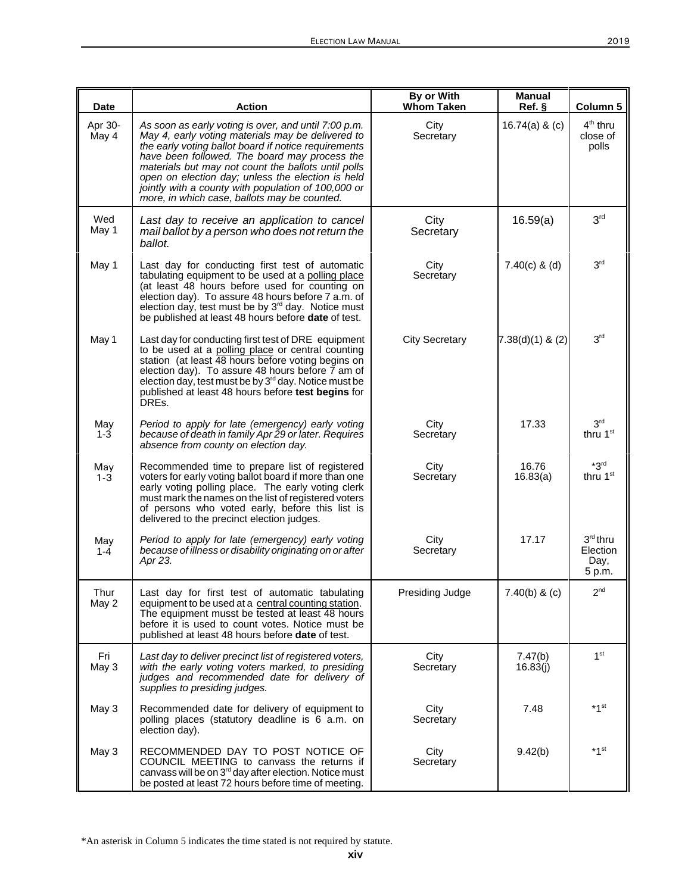| <b>Date</b>      | <b>Action</b>                                                                                                                                                                                                                                                                                                                                                                                                                         | By or With<br><b>Whom Taken</b> | Manual<br>Ref. §    | Column 5                                  |
|------------------|---------------------------------------------------------------------------------------------------------------------------------------------------------------------------------------------------------------------------------------------------------------------------------------------------------------------------------------------------------------------------------------------------------------------------------------|---------------------------------|---------------------|-------------------------------------------|
| Apr 30-<br>May 4 | As soon as early voting is over, and until 7:00 p.m.<br>May 4, early voting materials may be delivered to<br>the early voting ballot board if notice requirements<br>have been followed. The board may process the<br>materials but may not count the ballots until polls<br>open on election day; unless the election is held<br>jointly with a county with population of 100,000 or<br>more, in which case, ballots may be counted. | City<br>Secretary               | $16.74(a)$ & (c)    | 4 <sup>th</sup> thru<br>close of<br>polls |
| Wed<br>May 1     | Last day to receive an application to cancel<br>mail ballot by a person who does not return the<br>ballot.                                                                                                                                                                                                                                                                                                                            | City<br>Secretary               | 16.59(a)            | 3 <sup>rd</sup>                           |
| May 1            | Last day for conducting first test of automatic<br>tabulating equipment to be used at a polling place<br>(at least 48 hours before used for counting on<br>election day). To assure 48 hours before 7 a.m. of<br>election day, test must be by 3 <sup>rd</sup> day. Notice must<br>be published at least 48 hours before date of test.                                                                                                | City<br>Secretary               | $7.40(c)$ & (d)     | 3 <sup>rd</sup>                           |
| May 1            | Last day for conducting first test of DRE equipment<br>to be used at a polling place or central counting<br>station (at least 48 hours before voting begins on<br>election day). To assure 48 hours before $\bar{7}$ am of<br>election day, test must be by 3 <sup>rd</sup> day. Notice must be<br>published at least 48 hours before test begins for<br>DRE <sub>s.</sub>                                                            | <b>City Secretary</b>           | $7.38(d)(1)$ & (2)  | 3 <sup>rd</sup>                           |
| May<br>$1 - 3$   | Period to apply for late (emergency) early voting<br>because of death in family Apr 29 or later. Requires<br>absence from county on election day.                                                                                                                                                                                                                                                                                     | City<br>Secretary               | 17.33               | 3 <sup>rd</sup><br>thru 1 <sup>st</sup>   |
| May<br>$1 - 3$   | Recommended time to prepare list of registered<br>voters for early voting ballot board if more than one<br>early voting polling place. The early voting clerk<br>must mark the names on the list of registered voters<br>of persons who voted early, before this list is<br>delivered to the precinct election judges.                                                                                                                | City<br>Secretary               | 16.76<br>16.83(a)   | $*3rd$<br>thru 1 <sup>st</sup>            |
| May<br>$1 - 4$   | Period to apply for late (emergency) early voting<br>because of illness or disability originating on or after<br>Apr 23.                                                                                                                                                                                                                                                                                                              | City<br>Secretary               | 17.17               | 3rd thru<br>Election<br>Day,<br>5 p.m.    |
| Thur<br>May 2    | Last day for first test of automatic tabulating<br>equipment to be used at a central counting station.<br>The equipment musst be tested at least 48 hours<br>before it is used to count votes. Notice must be<br>published at least 48 hours before date of test.                                                                                                                                                                     | Presiding Judge                 | $7.40(b)$ & (c)     | 2 <sup>nd</sup>                           |
| Fri<br>May 3     | Last day to deliver precinct list of registered voters,<br>with the early voting voters marked, to presiding<br>judges and recommended date for delivery of<br>supplies to presiding judges.                                                                                                                                                                                                                                          | City<br>Secretary               | 7.47(b)<br>16.83(j) | 1 <sup>st</sup>                           |
| May 3            | Recommended date for delivery of equipment to<br>polling places (statutory deadline is 6 a.m. on<br>election day).                                                                                                                                                                                                                                                                                                                    | City<br>Secretary               | 7.48                | $*1$ <sup>st</sup>                        |
| May 3            | RECOMMENDED DAY TO POST NOTICE OF<br>COUNCIL MEETING to canvass the returns if<br>canvass will be on 3 <sup>rd</sup> day after election. Notice must<br>be posted at least 72 hours before time of meeting.                                                                                                                                                                                                                           | City<br>Secretary               | 9.42(b)             | *1 <sup>st</sup>                          |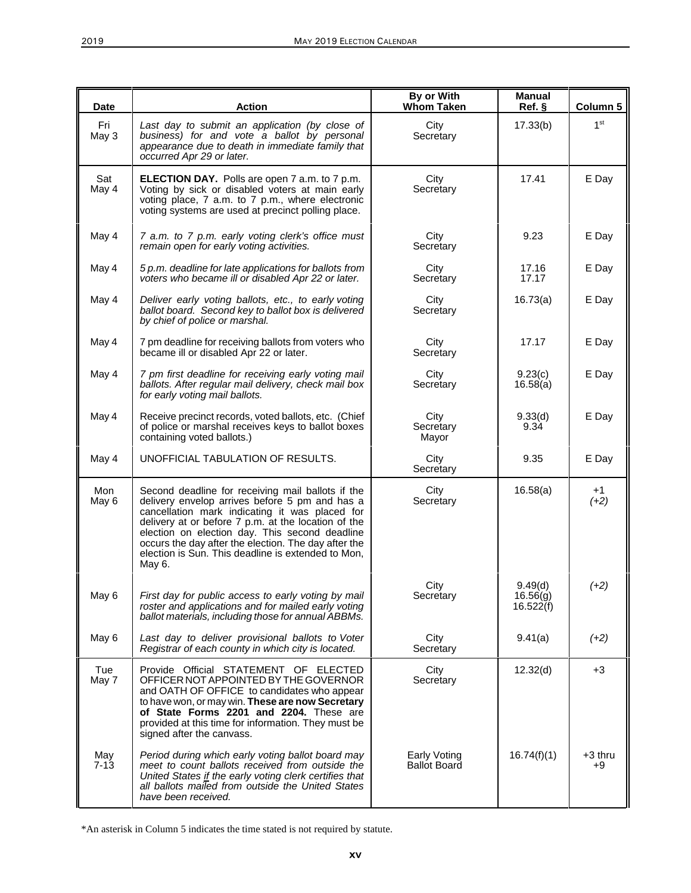| <b>Date</b>     | Action                                                                                                                                                                                                                                                                                                                                                                                 | By or With<br><b>Whom Taken</b>     | Manual<br>Ref.                   | Column 5        |
|-----------------|----------------------------------------------------------------------------------------------------------------------------------------------------------------------------------------------------------------------------------------------------------------------------------------------------------------------------------------------------------------------------------------|-------------------------------------|----------------------------------|-----------------|
| Fri<br>May 3    | Last day to submit an application (by close of<br>business) for and vote a ballot by personal<br>appearance due to death in immediate family that<br>occurred Apr 29 or later.                                                                                                                                                                                                         | City<br>Secretary                   | 17.33(b)                         | 1 <sup>st</sup> |
| Sat<br>May 4    | ELECTION DAY. Polls are open 7 a.m. to 7 p.m.<br>Voting by sick or disabled voters at main early<br>voting place, 7 a.m. to 7 p.m., where electronic<br>voting systems are used at precinct polling place.                                                                                                                                                                             | City<br>Secretary                   | 17.41                            | E Day           |
| May 4           | 7 a.m. to 7 p.m. early voting clerk's office must<br>remain open for early voting activities.                                                                                                                                                                                                                                                                                          | City<br>Secretary                   | 9.23                             | E Day           |
| May 4           | 5 p.m. deadline for late applications for ballots from<br>voters who became ill or disabled Apr 22 or later.                                                                                                                                                                                                                                                                           | City<br>Secretary                   | 17.16<br>17.17                   | E Day           |
| May 4           | Deliver early voting ballots, etc., to early voting<br>ballot board. Second key to ballot box is delivered<br>by chief of police or marshal.                                                                                                                                                                                                                                           | City<br>Secretary                   | 16.73(a)                         | E Day           |
| May 4           | 7 pm deadline for receiving ballots from voters who<br>became ill or disabled Apr 22 or later.                                                                                                                                                                                                                                                                                         | City<br>Secretary                   | 17.17                            | E Day           |
| May 4           | 7 pm first deadline for receiving early voting mail<br>ballots. After regular mail delivery, check mail box<br>for early voting mail ballots.                                                                                                                                                                                                                                          | City<br>Secretary                   | 9.23(c)<br>16.58(a)              | E Day           |
| May 4           | Receive precinct records, voted ballots, etc. (Chief<br>of police or marshal receives keys to ballot boxes<br>containing voted ballots.)                                                                                                                                                                                                                                               | City<br>Secretary<br>Mayor          | 9.33(d)<br>9.34                  | E Day           |
| May 4           | UNOFFICIAL TABULATION OF RESULTS.                                                                                                                                                                                                                                                                                                                                                      | City<br>Secretary                   | 9.35                             | E Day           |
| Mon<br>May 6    | Second deadline for receiving mail ballots if the<br>delivery envelop arrives before 5 pm and has a<br>cancellation mark indicating it was placed for<br>delivery at or before 7 p.m. at the location of the<br>election on election day. This second deadline<br>occurs the day after the election. The day after the<br>election is Sun. This deadline is extended to Mon,<br>May 6. | City<br>Secretary                   | 16.58(a)                         | $+1$<br>$(+2)$  |
| May 6           | First day for public access to early voting by mail<br>roster and applications and for mailed early voting<br>ballot materials, including those for annual ABBMs.                                                                                                                                                                                                                      | City<br>Secretary                   | 9.49(d)<br>16.56(g)<br>16.522(f) | $(+2)$          |
| May 6           | Last day to deliver provisional ballots to Voter<br>Registrar of each county in which city is located.                                                                                                                                                                                                                                                                                 | City<br>Secretary                   | 9.41(a)                          | $(+2)$          |
| Tue<br>May 7    | Provide Official STATEMENT OF ELECTED<br>OFFICER NOT APPOINTED BY THE GOVERNOR<br>and OATH OF OFFICE to candidates who appear<br>to have won, or may win. These are now Secretary<br>of State Forms 2201 and 2204. These are<br>provided at this time for information. They must be<br>signed after the canvass.                                                                       | City<br>Secretary                   | 12.32(d)                         | $+3$            |
| May<br>$7 - 13$ | Period during which early voting ballot board may<br>meet to count ballots received from outside the<br>United States if the early voting clerk certifies that<br>all ballots mailed from outside the United States<br>have been received.                                                                                                                                             | Early Voting<br><b>Ballot Board</b> | 16.74(f)(1)                      | +3 thru<br>+9   |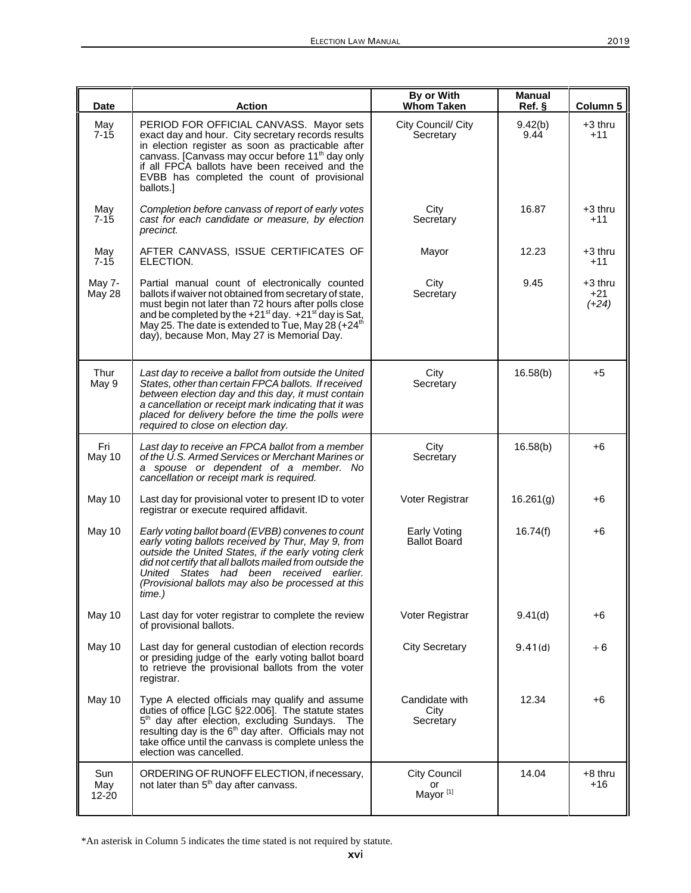| <b>Date</b>         | <b>Action</b>                                                                                                                                                                                                                                                                                                                                         | By or With<br><b>Whom Taken</b>                   | <b>Manual</b><br>Ref. | Column 5                    |
|---------------------|-------------------------------------------------------------------------------------------------------------------------------------------------------------------------------------------------------------------------------------------------------------------------------------------------------------------------------------------------------|---------------------------------------------------|-----------------------|-----------------------------|
| May<br>$7 - 15$     | PERIOD FOR OFFICIAL CANVASS. Mayor sets<br>exact day and hour. City secretary records results<br>in election register as soon as practicable after<br>canvass. [Canvass may occur before 11 <sup>th</sup> day only<br>if all FPCA ballots have been received and the<br>EVBB has completed the count of provisional<br>ballots.]                      | City Council/ City<br>Secretary                   | 9.42(b)<br>9.44       | $+3$ thru<br>$+11$          |
| May<br>$7 - 15$     | Completion before canvass of report of early votes<br>cast for each candidate or measure, by election<br>precinct.                                                                                                                                                                                                                                    | City<br>Secretary                                 | 16.87                 | +3 thru<br>$+11$            |
| May<br>$7 - 15$     | AFTER CANVASS, ISSUE CERTIFICATES OF<br>ELECTION.                                                                                                                                                                                                                                                                                                     | Mayor                                             | 12.23                 | +3 thru<br>$+11$            |
| May 7-<br>May 28    | Partial manual count of electronically counted<br>ballots if waiver not obtained from secretary of state,<br>must begin not later than 72 hours after polls close<br>and be completed by the $+21^{st}$ day. $+21^{st}$ day is Sat,<br>May 25. The date is extended to Tue, May 28 (+24 <sup>th</sup> )<br>day), because Mon, May 27 is Memorial Day. | City<br>Secretary                                 | 9.45                  | +3 thru<br>$+21$<br>$(+24)$ |
| Thur<br>May 9       | Last day to receive a ballot from outside the United<br>States, other than certain FPCA ballots. If received<br>between election day and this day, it must contain<br>a cancellation or receipt mark indicating that it was<br>placed for delivery before the time the polls were<br>required to close on election day.                               | City<br>Secretary                                 | 16.58(b)              | $+5$                        |
| Fri<br>May 10       | Last day to receive an FPCA ballot from a member<br>of the U.S. Armed Services or Merchant Marines or<br>a spouse or dependent of a member. No<br>cancellation or receipt mark is required.                                                                                                                                                           | City<br>Secretary                                 | 16.58(b)              | +6                          |
| May 10              | Last day for provisional voter to present ID to voter<br>registrar or execute required affidavit.                                                                                                                                                                                                                                                     | Voter Registrar                                   | 16.261(g)             | +6                          |
| May 10              | Early voting ballot board (EVBB) convenes to count<br>early voting ballots received by Thur, May 9, from<br>outside the United States, if the early voting clerk<br>did not certify that all ballots mailed from outside the<br>United States<br>had been received<br>earlier.<br>(Provisional ballots may also be processed at this<br>time.)        | Early Voting<br><b>Ballot Board</b>               | 16.74(f)              | +6                          |
| May 10              | Last day for voter registrar to complete the review<br>of provisional ballots.                                                                                                                                                                                                                                                                        | Voter Registrar                                   | 9.41(d)               | +6                          |
| May 10              | Last day for general custodian of election records<br>or presiding judge of the early voting ballot board<br>to retrieve the provisional ballots from the voter<br>registrar.                                                                                                                                                                         | <b>City Secretary</b>                             | 9.41(d)               | +6                          |
| May 10              | Type A elected officials may qualify and assume<br>duties of office [LGC §22.006]. The statute states<br>5 <sup>th</sup> day after election, excluding Sundays. The resulting day is the 6 <sup>th</sup> day after. Officials may not<br>take office until the canvass is complete unless the<br>election was cancelled.                              | Candidate with<br>City<br>Secretary               | 12.34                 | +6                          |
| Sun<br>May<br>12-20 | ORDERING OF RUNOFF ELECTION, if necessary,<br>not later than 5 <sup>th</sup> day after canvass.                                                                                                                                                                                                                                                       | <b>City Council</b><br>or<br>Mayor <sup>[1]</sup> | 14.04                 | $+8$ thru<br>+16            |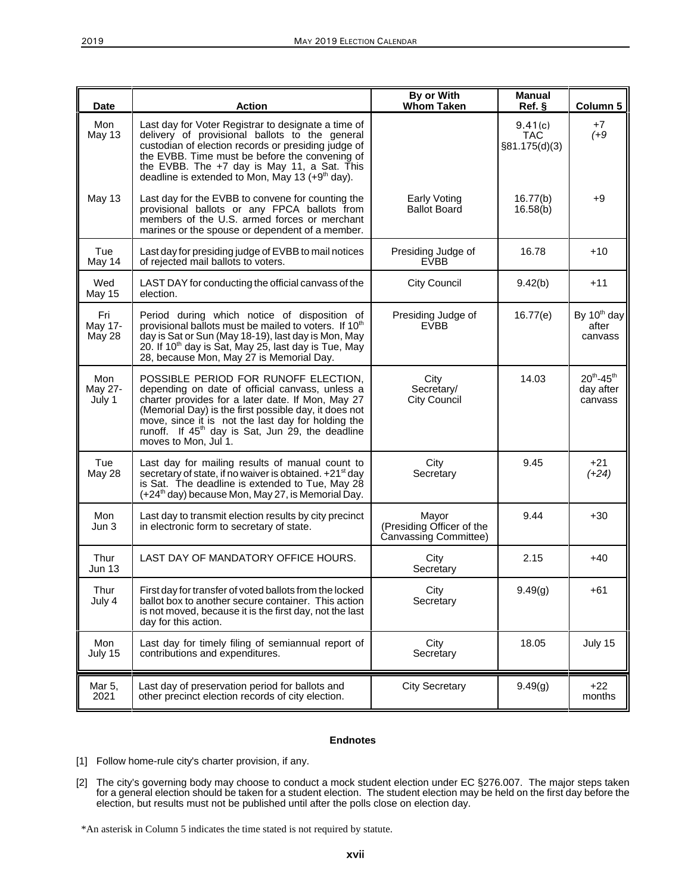| <b>Date</b>              | <b>Action</b>                                                                                                                                                                                                                                                                                                                                       | By or With<br><b>Whom Taken</b>                             | <b>Manual</b><br>Ref. §                | Column 5                                    |
|--------------------------|-----------------------------------------------------------------------------------------------------------------------------------------------------------------------------------------------------------------------------------------------------------------------------------------------------------------------------------------------------|-------------------------------------------------------------|----------------------------------------|---------------------------------------------|
| Mon<br>May 13            | Last day for Voter Registrar to designate a time of<br>delivery of provisional ballots to the general<br>custodian of election records or presiding judge of<br>the EVBB. Time must be before the convening of<br>the EVBB. The +7 day is May 11, a Sat. This<br>deadline is extended to Mon, May 13 (+9 <sup>th</sup> day).                        |                                                             | 9.41(c)<br><b>TAC</b><br>§81.175(d)(3) | $+7$<br>$(+9)$                              |
| May 13                   | Last day for the EVBB to convene for counting the<br>provisional ballots or any FPCA ballots from<br>members of the U.S. armed forces or merchant<br>marines or the spouse or dependent of a member.                                                                                                                                                | Early Voting<br><b>Ballot Board</b>                         | 16.77(b)<br>16.58(b)                   | $+9$                                        |
| Tue<br>May 14            | Last day for presiding judge of EVBB to mail notices<br>of rejected mail ballots to voters.                                                                                                                                                                                                                                                         | Presiding Judge of<br><b>EVBB</b>                           | 16.78                                  | $+10$                                       |
| Wed<br>May 15            | LAST DAY for conducting the official canvass of the<br>election.                                                                                                                                                                                                                                                                                    | <b>City Council</b>                                         | 9.42(b)                                | $+11$                                       |
| Fri<br>May 17-<br>May 28 | Period during which notice of disposition of<br>provisional ballots must be mailed to voters. If 10 <sup>th</sup><br>day is Sat or Sun (May 18-19), last day is Mon, May<br>20. If 10 <sup>th</sup> day is Sat, May 25, last day is Tue, May<br>28, because Mon, May 27 is Memorial Day.                                                            | Presiding Judge of<br><b>EVBB</b>                           | 16.77(e)                               | By 10 <sup>th</sup> day<br>after<br>canvass |
| Mon<br>May 27-<br>July 1 | POSSIBLE PERIOD FOR RUNOFF ELECTION,<br>depending on date of official canvass, unless a<br>charter provides for a later date. If Mon, May 27<br>(Memorial Day) is the first possible day, it does not<br>move, since it is not the last day for holding the<br>runoff. If 45 <sup>th</sup> day is Sat, Jun 29, the deadline<br>moves to Mon, Jul 1. | City<br>Secretary/<br><b>City Council</b>                   | 14.03                                  | $20^{th} - 45^{th}$<br>day after<br>canvass |
| Tue<br>May 28            | Last day for mailing results of manual count to<br>secretary of state, if no waiver is obtained. +21 <sup>st</sup> day<br>is Sat. The deadline is extended to Tue, May 28<br>(+24 <sup>th</sup> day) because Mon, May 27, is Memorial Day.                                                                                                          | City<br>Secretary                                           | 9.45                                   | $+21$<br>$(+24)$                            |
| Mon<br>Jun 3             | Last day to transmit election results by city precinct<br>in electronic form to secretary of state.                                                                                                                                                                                                                                                 | Mayor<br>(Presiding Officer of the<br>Canvassing Committee) | 9.44                                   | $+30$                                       |
| Thur<br><b>Jun 13</b>    | LAST DAY OF MANDATORY OFFICE HOURS.                                                                                                                                                                                                                                                                                                                 | City<br>Secretary                                           | 2.15                                   | $+40$                                       |
| Thur<br>July 4           | First day for transfer of voted ballots from the locked<br>ballot box to another secure container. This action<br>is not moved, because it is the first day, not the last<br>day for this action.                                                                                                                                                   | City<br>Secretary                                           | 9.49(g)                                | $+61$                                       |
| Mon<br>July 15           | Last day for timely filing of semiannual report of<br>contributions and expenditures.                                                                                                                                                                                                                                                               | City<br>Secretary                                           | 18.05                                  | July 15                                     |
| Mar 5,<br>2021           | Last day of preservation period for ballots and<br>other precinct election records of city election.                                                                                                                                                                                                                                                | <b>City Secretary</b>                                       | 9.49(g)                                | $+22$<br>months                             |

#### **Endnotes**

- [1] Follow home-rule city's charter provision, if any.
- [2] The city's governing body may choose to conduct a mock student election under EC §276.007. The major steps taken for a general election should be taken for a student election. The student election may be held on the first day before the election, but results must not be published until after the polls close on election day.

<sup>\*</sup>An asterisk in Column 5 indicates the time stated is not required by statute.